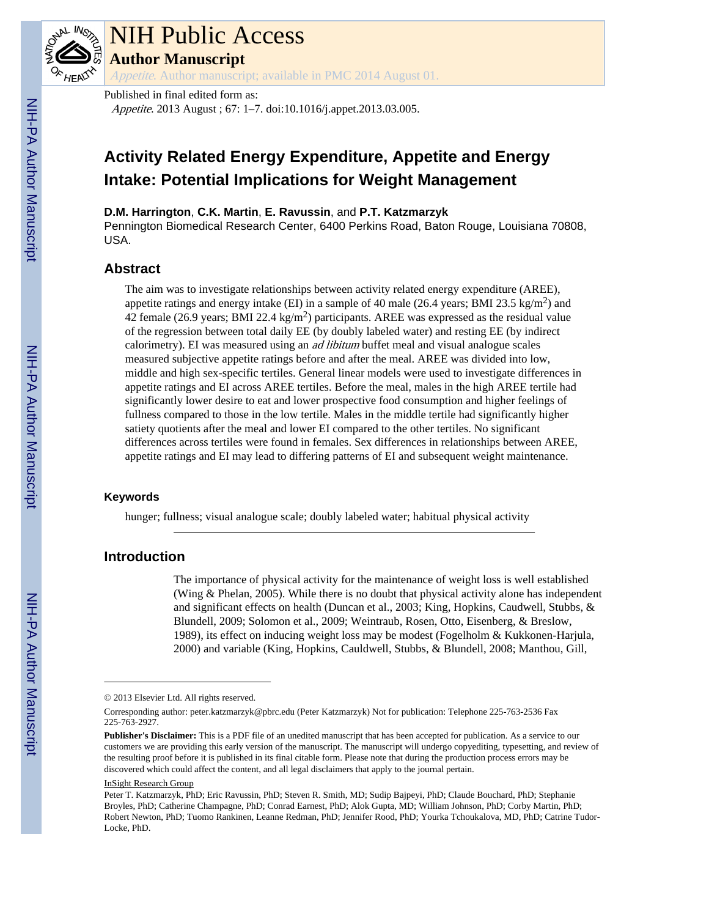

# NIH Public Access

**Author Manuscript**

Appetite. Author manuscript; available in PMC 2014 August 01.

Published in final edited form as:

Appetite. 2013 August ; 67: 1–7. doi:10.1016/j.appet.2013.03.005.

# **Activity Related Energy Expenditure, Appetite and Energy Intake: Potential Implications for Weight Management**

**D.M. Harrington**, **C.K. Martin**, **E. Ravussin**, and **P.T. Katzmarzyk**

Pennington Biomedical Research Center, 6400 Perkins Road, Baton Rouge, Louisiana 70808, USA.

# **Abstract**

The aim was to investigate relationships between activity related energy expenditure (AREE), appetite ratings and energy intake (EI) in a sample of 40 male (26.4 years; BMI 23.5 kg/m<sup>2</sup>) and 42 female (26.9 years; BMI 22.4 kg/m<sup>2</sup>) participants. AREE was expressed as the residual value of the regression between total daily EE (by doubly labeled water) and resting EE (by indirect calorimetry). EI was measured using an *ad libitum* buffet meal and visual analogue scales measured subjective appetite ratings before and after the meal. AREE was divided into low, middle and high sex-specific tertiles. General linear models were used to investigate differences in appetite ratings and EI across AREE tertiles. Before the meal, males in the high AREE tertile had significantly lower desire to eat and lower prospective food consumption and higher feelings of fullness compared to those in the low tertile. Males in the middle tertile had significantly higher satiety quotients after the meal and lower EI compared to the other tertiles. No significant differences across tertiles were found in females. Sex differences in relationships between AREE, appetite ratings and EI may lead to differing patterns of EI and subsequent weight maintenance.

### **Keywords**

hunger; fullness; visual analogue scale; doubly labeled water; habitual physical activity

# **Introduction**

The importance of physical activity for the maintenance of weight loss is well established (Wing & Phelan, 2005). While there is no doubt that physical activity alone has independent and significant effects on health (Duncan et al., 2003; King, Hopkins, Caudwell, Stubbs, & Blundell, 2009; Solomon et al., 2009; Weintraub, Rosen, Otto, Eisenberg, & Breslow, 1989), its effect on inducing weight loss may be modest (Fogelholm & Kukkonen-Harjula, 2000) and variable (King, Hopkins, Cauldwell, Stubbs, & Blundell, 2008; Manthou, Gill,

<sup>© 2013</sup> Elsevier Ltd. All rights reserved.

Corresponding author: peter.katzmarzyk@pbrc.edu (Peter Katzmarzyk) Not for publication: Telephone 225-763-2536 Fax 225-763-2927.

**Publisher's Disclaimer:** This is a PDF file of an unedited manuscript that has been accepted for publication. As a service to our customers we are providing this early version of the manuscript. The manuscript will undergo copyediting, typesetting, and review of the resulting proof before it is published in its final citable form. Please note that during the production process errors may be discovered which could affect the content, and all legal disclaimers that apply to the journal pertain.

InSight Research Group

Peter T. Katzmarzyk, PhD; Eric Ravussin, PhD; Steven R. Smith, MD; Sudip Bajpeyi, PhD; Claude Bouchard, PhD; Stephanie Broyles, PhD; Catherine Champagne, PhD; Conrad Earnest, PhD; Alok Gupta, MD; William Johnson, PhD; Corby Martin, PhD; Robert Newton, PhD; Tuomo Rankinen, Leanne Redman, PhD; Jennifer Rood, PhD; Yourka Tchoukalova, MD, PhD; Catrine Tudor-Locke, PhD.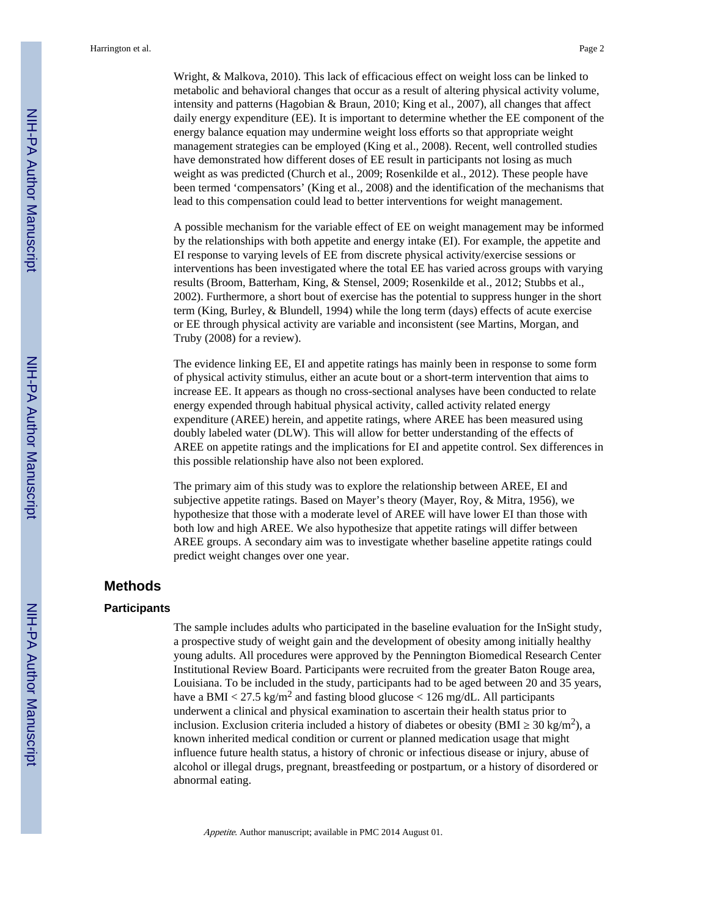Wright, & Malkova, 2010). This lack of efficacious effect on weight loss can be linked to metabolic and behavioral changes that occur as a result of altering physical activity volume, intensity and patterns (Hagobian & Braun, 2010; King et al., 2007), all changes that affect daily energy expenditure (EE). It is important to determine whether the EE component of the energy balance equation may undermine weight loss efforts so that appropriate weight management strategies can be employed (King et al., 2008). Recent, well controlled studies have demonstrated how different doses of EE result in participants not losing as much weight as was predicted (Church et al., 2009; Rosenkilde et al., 2012). These people have been termed 'compensators' (King et al., 2008) and the identification of the mechanisms that lead to this compensation could lead to better interventions for weight management.

A possible mechanism for the variable effect of EE on weight management may be informed by the relationships with both appetite and energy intake (EI). For example, the appetite and EI response to varying levels of EE from discrete physical activity/exercise sessions or interventions has been investigated where the total EE has varied across groups with varying results (Broom, Batterham, King, & Stensel, 2009; Rosenkilde et al., 2012; Stubbs et al., 2002). Furthermore, a short bout of exercise has the potential to suppress hunger in the short term (King, Burley, & Blundell, 1994) while the long term (days) effects of acute exercise or EE through physical activity are variable and inconsistent (see Martins, Morgan, and Truby (2008) for a review).

The evidence linking EE, EI and appetite ratings has mainly been in response to some form of physical activity stimulus, either an acute bout or a short-term intervention that aims to increase EE. It appears as though no cross-sectional analyses have been conducted to relate energy expended through habitual physical activity, called activity related energy expenditure (AREE) herein, and appetite ratings, where AREE has been measured using doubly labeled water (DLW). This will allow for better understanding of the effects of AREE on appetite ratings and the implications for EI and appetite control. Sex differences in this possible relationship have also not been explored.

The primary aim of this study was to explore the relationship between AREE, EI and subjective appetite ratings. Based on Mayer's theory (Mayer, Roy, & Mitra, 1956), we hypothesize that those with a moderate level of AREE will have lower EI than those with both low and high AREE. We also hypothesize that appetite ratings will differ between AREE groups. A secondary aim was to investigate whether baseline appetite ratings could predict weight changes over one year.

#### **Methods**

#### **Participants**

The sample includes adults who participated in the baseline evaluation for the InSight study, a prospective study of weight gain and the development of obesity among initially healthy young adults. All procedures were approved by the Pennington Biomedical Research Center Institutional Review Board. Participants were recruited from the greater Baton Rouge area, Louisiana. To be included in the study, participants had to be aged between 20 and 35 years, have a BMI  $<$  27.5 kg/m<sup>2</sup> and fasting blood glucose  $<$  126 mg/dL. All participants underwent a clinical and physical examination to ascertain their health status prior to inclusion. Exclusion criteria included a history of diabetes or obesity (BMI  $\,$  30 kg/m<sup>2</sup>), a known inherited medical condition or current or planned medication usage that might influence future health status, a history of chronic or infectious disease or injury, abuse of alcohol or illegal drugs, pregnant, breastfeeding or postpartum, or a history of disordered or abnormal eating.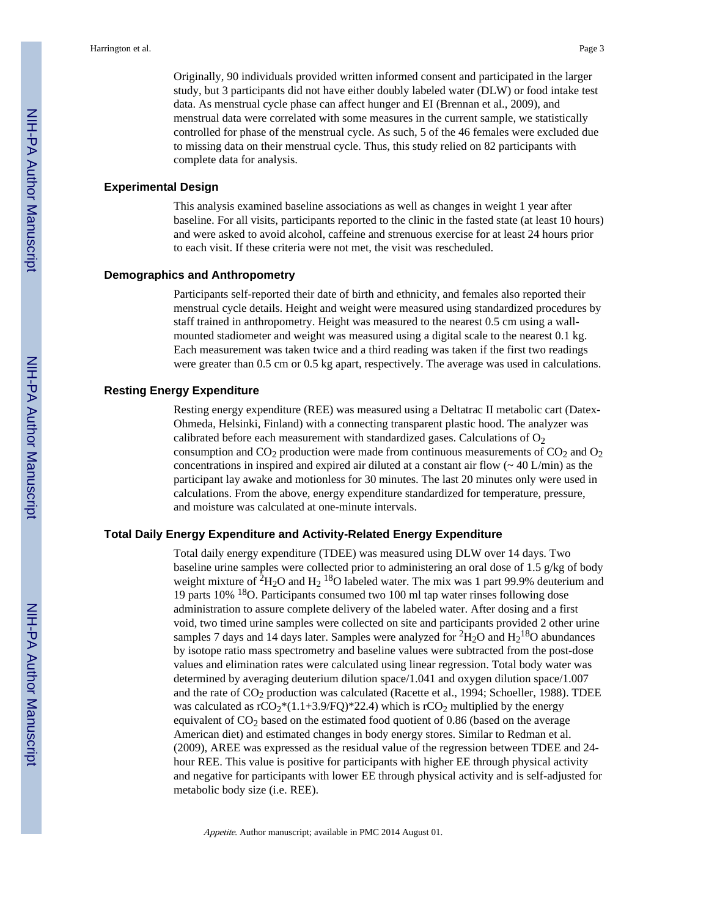Originally, 90 individuals provided written informed consent and participated in the larger study, but 3 participants did not have either doubly labeled water (DLW) or food intake test data. As menstrual cycle phase can affect hunger and EI (Brennan et al., 2009), and menstrual data were correlated with some measures in the current sample, we statistically controlled for phase of the menstrual cycle. As such, 5 of the 46 females were excluded due to missing data on their menstrual cycle. Thus, this study relied on 82 participants with complete data for analysis.

#### **Experimental Design**

This analysis examined baseline associations as well as changes in weight 1 year after baseline. For all visits, participants reported to the clinic in the fasted state (at least 10 hours) and were asked to avoid alcohol, caffeine and strenuous exercise for at least 24 hours prior to each visit. If these criteria were not met, the visit was rescheduled.

#### **Demographics and Anthropometry**

Participants self-reported their date of birth and ethnicity, and females also reported their menstrual cycle details. Height and weight were measured using standardized procedures by staff trained in anthropometry. Height was measured to the nearest 0.5 cm using a wallmounted stadiometer and weight was measured using a digital scale to the nearest 0.1 kg. Each measurement was taken twice and a third reading was taken if the first two readings were greater than 0.5 cm or 0.5 kg apart, respectively. The average was used in calculations.

#### **Resting Energy Expenditure**

Resting energy expenditure (REE) was measured using a Deltatrac II metabolic cart (Datex-Ohmeda, Helsinki, Finland) with a connecting transparent plastic hood. The analyzer was calibrated before each measurement with standardized gases. Calculations of  $O_2$ consumption and  $CO<sub>2</sub>$  production were made from continuous measurements of  $CO<sub>2</sub>$  and  $O<sub>2</sub>$ concentrations in inspired and expired air diluted at a constant air flow  $\sim$  40 L/min) as the participant lay awake and motionless for 30 minutes. The last 20 minutes only were used in calculations. From the above, energy expenditure standardized for temperature, pressure, and moisture was calculated at one-minute intervals.

#### **Total Daily Energy Expenditure and Activity-Related Energy Expenditure**

Total daily energy expenditure (TDEE) was measured using DLW over 14 days. Two baseline urine samples were collected prior to administering an oral dose of 1.5 g/kg of body weight mixture of  ${}^{2}H_{2}O$  and  $H_{2}$  18O labeled water. The mix was 1 part 99.9% deuterium and 19 parts 10% 18O. Participants consumed two 100 ml tap water rinses following dose administration to assure complete delivery of the labeled water. After dosing and a first void, two timed urine samples were collected on site and participants provided 2 other urine samples 7 days and 14 days later. Samples were analyzed for  ${}^{2}H_{2}O$  and  $H_{2}{}^{18}O$  abundances by isotope ratio mass spectrometry and baseline values were subtracted from the post-dose values and elimination rates were calculated using linear regression. Total body water was determined by averaging deuterium dilution space/1.041 and oxygen dilution space/1.007 and the rate of CO<sub>2</sub> production was calculated (Racette et al., 1994; Schoeller, 1988). TDEE was calculated as  $rCO_2*(1.1+3.9/FQ)*22.4$ ) which is  $rCO_2$  multiplied by the energy equivalent of  $CO<sub>2</sub>$  based on the estimated food quotient of 0.86 (based on the average American diet) and estimated changes in body energy stores. Similar to Redman et al. (2009), AREE was expressed as the residual value of the regression between TDEE and 24 hour REE. This value is positive for participants with higher EE through physical activity and negative for participants with lower EE through physical activity and is self-adjusted for metabolic body size (i.e. REE).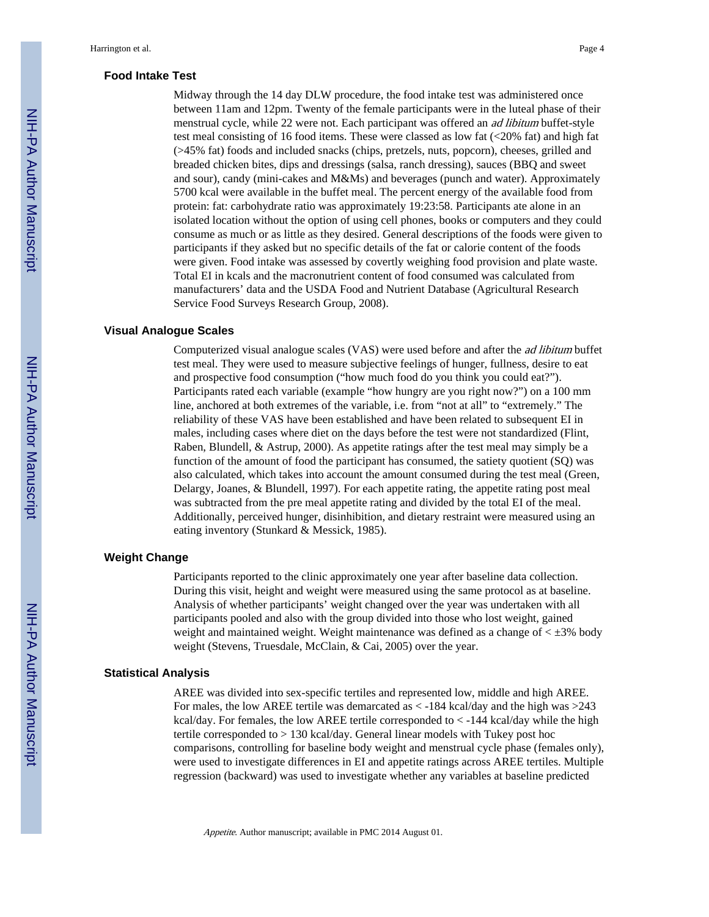#### **Food Intake Test**

Midway through the 14 day DLW procedure, the food intake test was administered once between 11am and 12pm. Twenty of the female participants were in the luteal phase of their menstrual cycle, while 22 were not. Each participant was offered an ad libitum buffet-style test meal consisting of 16 food items. These were classed as low fat  $\left( \langle 20\% \text{ fat} \rangle \right)$  and high fat (>45% fat) foods and included snacks (chips, pretzels, nuts, popcorn), cheeses, grilled and breaded chicken bites, dips and dressings (salsa, ranch dressing), sauces (BBQ and sweet and sour), candy (mini-cakes and M&Ms) and beverages (punch and water). Approximately 5700 kcal were available in the buffet meal. The percent energy of the available food from protein: fat: carbohydrate ratio was approximately 19:23:58. Participants ate alone in an isolated location without the option of using cell phones, books or computers and they could consume as much or as little as they desired. General descriptions of the foods were given to participants if they asked but no specific details of the fat or calorie content of the foods were given. Food intake was assessed by covertly weighing food provision and plate waste. Total EI in kcals and the macronutrient content of food consumed was calculated from manufacturers' data and the USDA Food and Nutrient Database (Agricultural Research Service Food Surveys Research Group, 2008).

#### **Visual Analogue Scales**

Computerized visual analogue scales (VAS) were used before and after the ad libitum buffet test meal. They were used to measure subjective feelings of hunger, fullness, desire to eat and prospective food consumption ("how much food do you think you could eat?"). Participants rated each variable (example "how hungry are you right now?") on a 100 mm line, anchored at both extremes of the variable, i.e. from "not at all" to "extremely." The reliability of these VAS have been established and have been related to subsequent EI in males, including cases where diet on the days before the test were not standardized (Flint, Raben, Blundell, & Astrup, 2000). As appetite ratings after the test meal may simply be a function of the amount of food the participant has consumed, the satiety quotient (SQ) was also calculated, which takes into account the amount consumed during the test meal (Green, Delargy, Joanes, & Blundell, 1997). For each appetite rating, the appetite rating post meal was subtracted from the pre meal appetite rating and divided by the total EI of the meal. Additionally, perceived hunger, disinhibition, and dietary restraint were measured using an eating inventory (Stunkard & Messick, 1985).

#### **Weight Change**

Participants reported to the clinic approximately one year after baseline data collection. During this visit, height and weight were measured using the same protocol as at baseline. Analysis of whether participants' weight changed over the year was undertaken with all participants pooled and also with the group divided into those who lost weight, gained weight and maintained weight. Weight maintenance was defined as a change of  $\lt$   $\pm$ 3% body weight (Stevens, Truesdale, McClain, & Cai, 2005) over the year.

#### **Statistical Analysis**

AREE was divided into sex-specific tertiles and represented low, middle and high AREE. For males, the low AREE tertile was demarcated as < -184 kcal/day and the high was >243 kcal/day. For females, the low AREE tertile corresponded to  $\lt$  -144 kcal/day while the high tertile corresponded to > 130 kcal/day. General linear models with Tukey post hoc comparisons, controlling for baseline body weight and menstrual cycle phase (females only), were used to investigate differences in EI and appetite ratings across AREE tertiles. Multiple regression (backward) was used to investigate whether any variables at baseline predicted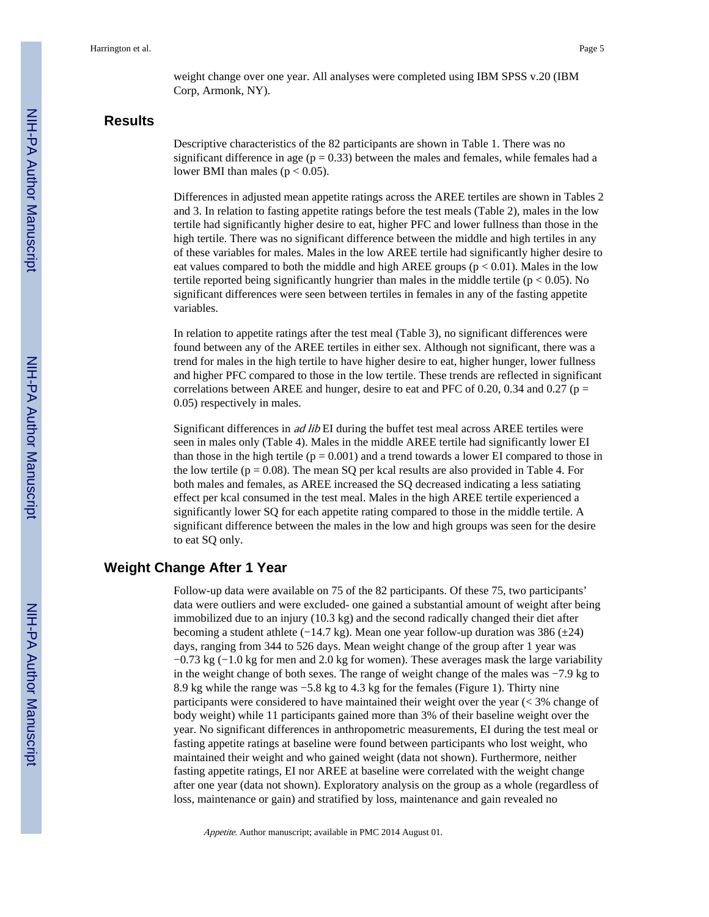weight change over one year. All analyses were completed using IBM SPSS v.20 (IBM Corp, Armonk, NY).

## **Results**

Descriptive characteristics of the 82 participants are shown in Table 1. There was no significant difference in age ( $p = 0.33$ ) between the males and females, while females had a lower BMI than males ( $p < 0.05$ ).

Differences in adjusted mean appetite ratings across the AREE tertiles are shown in Tables 2 and 3. In relation to fasting appetite ratings before the test meals (Table 2), males in the low tertile had significantly higher desire to eat, higher PFC and lower fullness than those in the high tertile. There was no significant difference between the middle and high tertiles in any of these variables for males. Males in the low AREE tertile had significantly higher desire to eat values compared to both the middle and high AREE groups ( $p < 0.01$ ). Males in the low tertile reported being significantly hungrier than males in the middle tertile ( $p < 0.05$ ). No significant differences were seen between tertiles in females in any of the fasting appetite variables.

In relation to appetite ratings after the test meal (Table 3), no significant differences were found between any of the AREE tertiles in either sex. Although not significant, there was a trend for males in the high tertile to have higher desire to eat, higher hunger, lower fullness and higher PFC compared to those in the low tertile. These trends are reflected in significant correlations between AREE and hunger, desire to eat and PFC of 0.20, 0.34 and 0.27 ( $p =$ 0.05) respectively in males.

Significant differences in ad lib EI during the buffet test meal across AREE tertiles were seen in males only (Table 4). Males in the middle AREE tertile had significantly lower EI than those in the high tertile ( $p = 0.001$ ) and a trend towards a lower EI compared to those in the low tertile ( $p = 0.08$ ). The mean SQ per kcal results are also provided in Table 4. For both males and females, as AREE increased the SQ decreased indicating a less satiating effect per kcal consumed in the test meal. Males in the high AREE tertile experienced a significantly lower SQ for each appetite rating compared to those in the middle tertile. A significant difference between the males in the low and high groups was seen for the desire to eat SQ only.

## **Weight Change After 1 Year**

Follow-up data were available on 75 of the 82 participants. Of these 75, two participants' data were outliers and were excluded- one gained a substantial amount of weight after being immobilized due to an injury (10.3 kg) and the second radically changed their diet after becoming a student athlete (−14.7 kg). Mean one year follow-up duration was 386 (±24) days, ranging from 344 to 526 days. Mean weight change of the group after 1 year was −0.73 kg (−1.0 kg for men and 2.0 kg for women). These averages mask the large variability in the weight change of both sexes. The range of weight change of the males was −7.9 kg to 8.9 kg while the range was −5.8 kg to 4.3 kg for the females (Figure 1). Thirty nine participants were considered to have maintained their weight over the year (< 3% change of body weight) while 11 participants gained more than 3% of their baseline weight over the year. No significant differences in anthropometric measurements, EI during the test meal or fasting appetite ratings at baseline were found between participants who lost weight, who maintained their weight and who gained weight (data not shown). Furthermore, neither fasting appetite ratings, EI nor AREE at baseline were correlated with the weight change after one year (data not shown). Exploratory analysis on the group as a whole (regardless of loss, maintenance or gain) and stratified by loss, maintenance and gain revealed no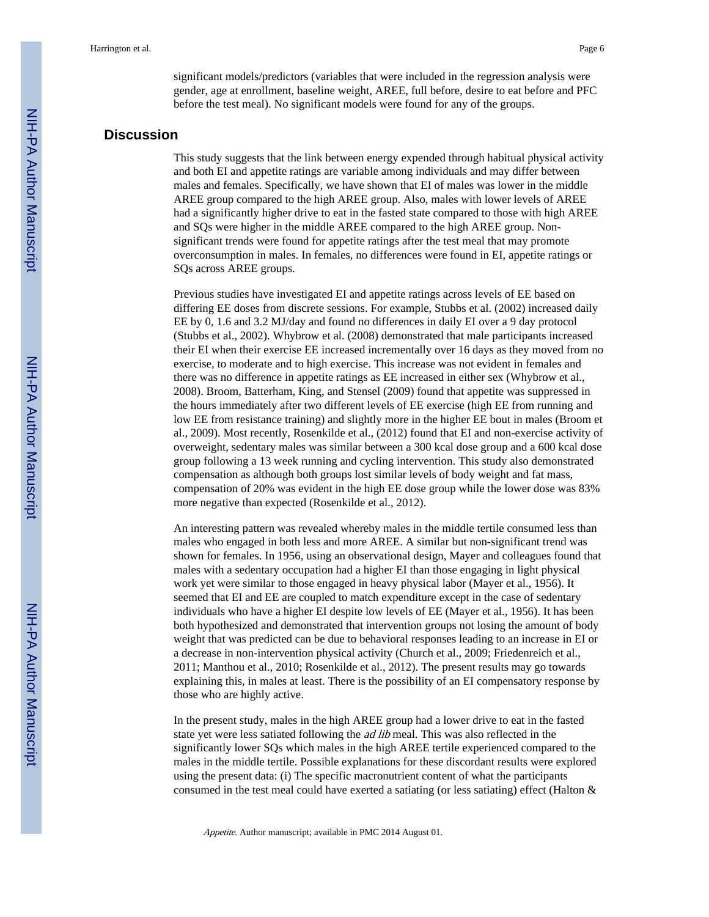significant models/predictors (variables that were included in the regression analysis were gender, age at enrollment, baseline weight, AREE, full before, desire to eat before and PFC before the test meal). No significant models were found for any of the groups.

#### **Discussion**

This study suggests that the link between energy expended through habitual physical activity and both EI and appetite ratings are variable among individuals and may differ between males and females. Specifically, we have shown that EI of males was lower in the middle AREE group compared to the high AREE group. Also, males with lower levels of AREE had a significantly higher drive to eat in the fasted state compared to those with high AREE and SQs were higher in the middle AREE compared to the high AREE group. Nonsignificant trends were found for appetite ratings after the test meal that may promote overconsumption in males. In females, no differences were found in EI, appetite ratings or SQs across AREE groups.

Previous studies have investigated EI and appetite ratings across levels of EE based on differing EE doses from discrete sessions. For example, Stubbs et al. (2002) increased daily EE by 0, 1.6 and 3.2 MJ/day and found no differences in daily EI over a 9 day protocol (Stubbs et al., 2002). Whybrow et al. (2008) demonstrated that male participants increased their EI when their exercise EE increased incrementally over 16 days as they moved from no exercise, to moderate and to high exercise. This increase was not evident in females and there was no difference in appetite ratings as EE increased in either sex (Whybrow et al., 2008). Broom, Batterham, King, and Stensel (2009) found that appetite was suppressed in the hours immediately after two different levels of EE exercise (high EE from running and low EE from resistance training) and slightly more in the higher EE bout in males (Broom et al., 2009). Most recently, Rosenkilde et al., (2012) found that EI and non-exercise activity of overweight, sedentary males was similar between a 300 kcal dose group and a 600 kcal dose group following a 13 week running and cycling intervention. This study also demonstrated compensation as although both groups lost similar levels of body weight and fat mass, compensation of 20% was evident in the high EE dose group while the lower dose was 83% more negative than expected (Rosenkilde et al., 2012).

An interesting pattern was revealed whereby males in the middle tertile consumed less than males who engaged in both less and more AREE. A similar but non-significant trend was shown for females. In 1956, using an observational design, Mayer and colleagues found that males with a sedentary occupation had a higher EI than those engaging in light physical work yet were similar to those engaged in heavy physical labor (Mayer et al., 1956). It seemed that EI and EE are coupled to match expenditure except in the case of sedentary individuals who have a higher EI despite low levels of EE (Mayer et al., 1956). It has been both hypothesized and demonstrated that intervention groups not losing the amount of body weight that was predicted can be due to behavioral responses leading to an increase in EI or a decrease in non-intervention physical activity (Church et al., 2009; Friedenreich et al., 2011; Manthou et al., 2010; Rosenkilde et al., 2012). The present results may go towards explaining this, in males at least. There is the possibility of an EI compensatory response by those who are highly active.

In the present study, males in the high AREE group had a lower drive to eat in the fasted state yet were less satiated following the *ad lib* meal. This was also reflected in the significantly lower SQs which males in the high AREE tertile experienced compared to the males in the middle tertile. Possible explanations for these discordant results were explored using the present data: (i) The specific macronutrient content of what the participants consumed in the test meal could have exerted a satiating (or less satiating) effect (Halton  $\&$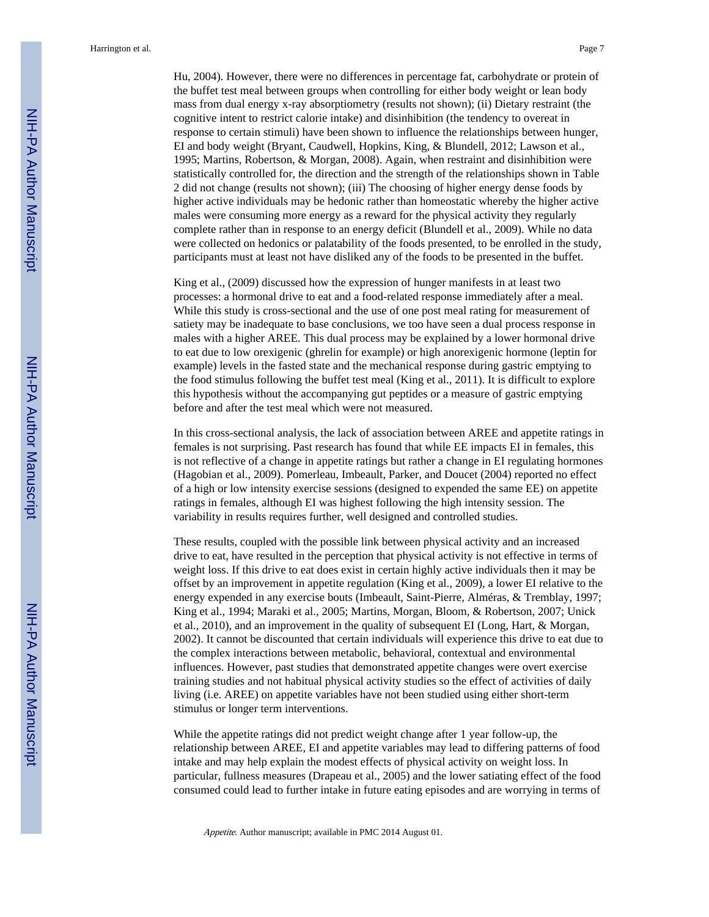Hu, 2004). However, there were no differences in percentage fat, carbohydrate or protein of the buffet test meal between groups when controlling for either body weight or lean body mass from dual energy x-ray absorptiometry (results not shown); (ii) Dietary restraint (the cognitive intent to restrict calorie intake) and disinhibition (the tendency to overeat in response to certain stimuli) have been shown to influence the relationships between hunger, EI and body weight (Bryant, Caudwell, Hopkins, King, & Blundell, 2012; Lawson et al., 1995; Martins, Robertson, & Morgan, 2008). Again, when restraint and disinhibition were statistically controlled for, the direction and the strength of the relationships shown in Table 2 did not change (results not shown); (iii) The choosing of higher energy dense foods by higher active individuals may be hedonic rather than homeostatic whereby the higher active males were consuming more energy as a reward for the physical activity they regularly complete rather than in response to an energy deficit (Blundell et al., 2009). While no data were collected on hedonics or palatability of the foods presented, to be enrolled in the study, participants must at least not have disliked any of the foods to be presented in the buffet.

King et al., (2009) discussed how the expression of hunger manifests in at least two processes: a hormonal drive to eat and a food-related response immediately after a meal. While this study is cross-sectional and the use of one post meal rating for measurement of satiety may be inadequate to base conclusions, we too have seen a dual process response in males with a higher AREE. This dual process may be explained by a lower hormonal drive to eat due to low orexigenic (ghrelin for example) or high anorexigenic hormone (leptin for example) levels in the fasted state and the mechanical response during gastric emptying to the food stimulus following the buffet test meal (King et al., 2011). It is difficult to explore this hypothesis without the accompanying gut peptides or a measure of gastric emptying before and after the test meal which were not measured.

In this cross-sectional analysis, the lack of association between AREE and appetite ratings in females is not surprising. Past research has found that while EE impacts EI in females, this is not reflective of a change in appetite ratings but rather a change in EI regulating hormones (Hagobian et al., 2009). Pomerleau, Imbeault, Parker, and Doucet (2004) reported no effect of a high or low intensity exercise sessions (designed to expended the same EE) on appetite ratings in females, although EI was highest following the high intensity session. The variability in results requires further, well designed and controlled studies.

These results, coupled with the possible link between physical activity and an increased drive to eat, have resulted in the perception that physical activity is not effective in terms of weight loss. If this drive to eat does exist in certain highly active individuals then it may be offset by an improvement in appetite regulation (King et al., 2009), a lower EI relative to the energy expended in any exercise bouts (Imbeault, Saint-Pierre, Alméras, & Tremblay, 1997; King et al., 1994; Maraki et al., 2005; Martins, Morgan, Bloom, & Robertson, 2007; Unick et al., 2010), and an improvement in the quality of subsequent EI (Long, Hart, & Morgan, 2002). It cannot be discounted that certain individuals will experience this drive to eat due to the complex interactions between metabolic, behavioral, contextual and environmental influences. However, past studies that demonstrated appetite changes were overt exercise training studies and not habitual physical activity studies so the effect of activities of daily living (i.e. AREE) on appetite variables have not been studied using either short-term stimulus or longer term interventions.

While the appetite ratings did not predict weight change after 1 year follow-up, the relationship between AREE, EI and appetite variables may lead to differing patterns of food intake and may help explain the modest effects of physical activity on weight loss. In particular, fullness measures (Drapeau et al., 2005) and the lower satiating effect of the food consumed could lead to further intake in future eating episodes and are worrying in terms of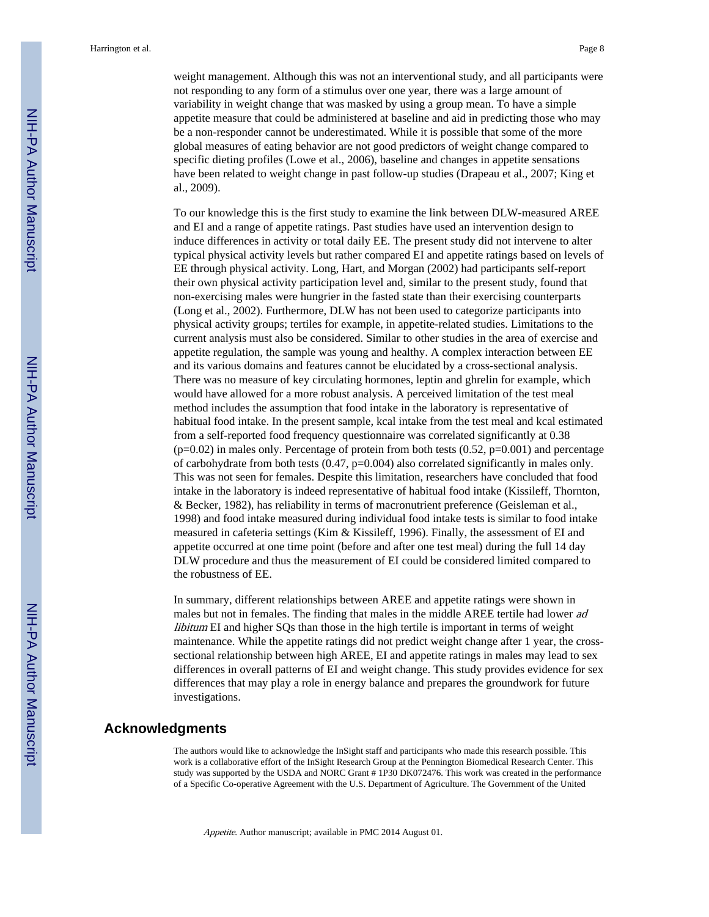weight management. Although this was not an interventional study, and all participants were not responding to any form of a stimulus over one year, there was a large amount of variability in weight change that was masked by using a group mean. To have a simple appetite measure that could be administered at baseline and aid in predicting those who may be a non-responder cannot be underestimated. While it is possible that some of the more global measures of eating behavior are not good predictors of weight change compared to specific dieting profiles (Lowe et al., 2006), baseline and changes in appetite sensations have been related to weight change in past follow-up studies (Drapeau et al., 2007; King et al., 2009).

To our knowledge this is the first study to examine the link between DLW-measured AREE and EI and a range of appetite ratings. Past studies have used an intervention design to induce differences in activity or total daily EE. The present study did not intervene to alter typical physical activity levels but rather compared EI and appetite ratings based on levels of EE through physical activity. Long, Hart, and Morgan (2002) had participants self-report their own physical activity participation level and, similar to the present study, found that non-exercising males were hungrier in the fasted state than their exercising counterparts (Long et al., 2002). Furthermore, DLW has not been used to categorize participants into physical activity groups; tertiles for example, in appetite-related studies. Limitations to the current analysis must also be considered. Similar to other studies in the area of exercise and appetite regulation, the sample was young and healthy. A complex interaction between EE and its various domains and features cannot be elucidated by a cross-sectional analysis. There was no measure of key circulating hormones, leptin and ghrelin for example, which would have allowed for a more robust analysis. A perceived limitation of the test meal method includes the assumption that food intake in the laboratory is representative of habitual food intake. In the present sample, kcal intake from the test meal and kcal estimated from a self-reported food frequency questionnaire was correlated significantly at 0.38  $(p=0.02)$  in males only. Percentage of protein from both tests  $(0.52, p=0.001)$  and percentage of carbohydrate from both tests  $(0.47, p=0.004)$  also correlated significantly in males only. This was not seen for females. Despite this limitation, researchers have concluded that food intake in the laboratory is indeed representative of habitual food intake (Kissileff, Thornton, & Becker, 1982), has reliability in terms of macronutrient preference (Geisleman et al., 1998) and food intake measured during individual food intake tests is similar to food intake measured in cafeteria settings (Kim & Kissileff, 1996). Finally, the assessment of EI and appetite occurred at one time point (before and after one test meal) during the full 14 day DLW procedure and thus the measurement of EI could be considered limited compared to the robustness of EE.

In summary, different relationships between AREE and appetite ratings were shown in males but not in females. The finding that males in the middle AREE tertile had lower ad libitum EI and higher SQs than those in the high tertile is important in terms of weight maintenance. While the appetite ratings did not predict weight change after 1 year, the crosssectional relationship between high AREE, EI and appetite ratings in males may lead to sex differences in overall patterns of EI and weight change. This study provides evidence for sex differences that may play a role in energy balance and prepares the groundwork for future investigations.

#### **Acknowledgments**

The authors would like to acknowledge the InSight staff and participants who made this research possible. This work is a collaborative effort of the InSight Research Group at the Pennington Biomedical Research Center. This study was supported by the USDA and NORC Grant # 1P30 DK072476. This work was created in the performance of a Specific Co-operative Agreement with the U.S. Department of Agriculture. The Government of the United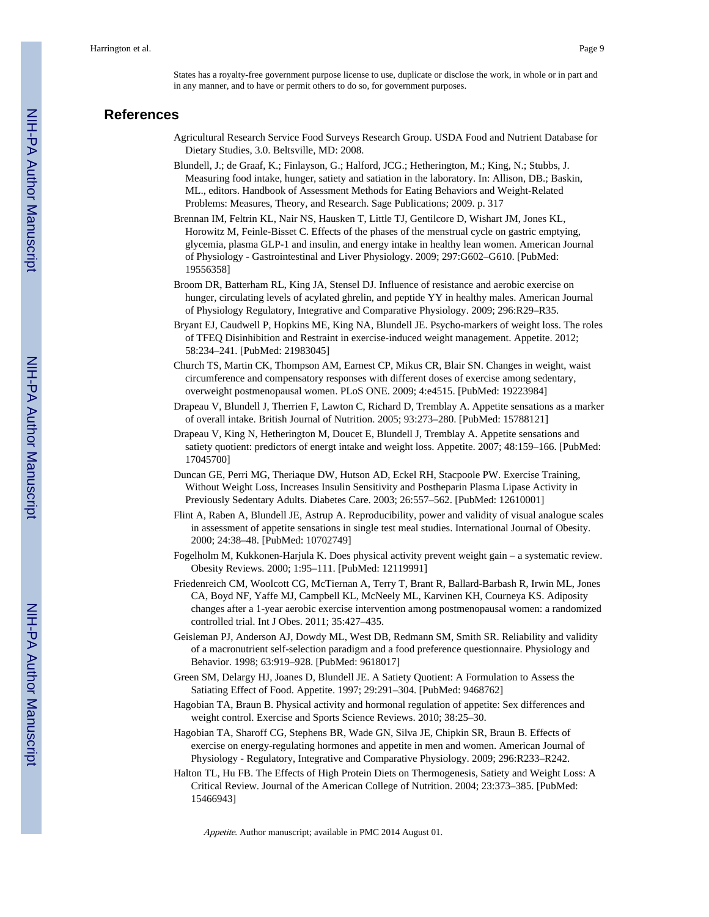States has a royalty-free government purpose license to use, duplicate or disclose the work, in whole or in part and in any manner, and to have or permit others to do so, for government purposes.

### **References**

- Agricultural Research Service Food Surveys Research Group. USDA Food and Nutrient Database for Dietary Studies, 3.0. Beltsville, MD: 2008.
- Blundell, J.; de Graaf, K.; Finlayson, G.; Halford, JCG.; Hetherington, M.; King, N.; Stubbs, J. Measuring food intake, hunger, satiety and satiation in the laboratory. In: Allison, DB.; Baskin, ML., editors. Handbook of Assessment Methods for Eating Behaviors and Weight-Related Problems: Measures, Theory, and Research. Sage Publications; 2009. p. 317
- Brennan IM, Feltrin KL, Nair NS, Hausken T, Little TJ, Gentilcore D, Wishart JM, Jones KL, Horowitz M, Feinle-Bisset C. Effects of the phases of the menstrual cycle on gastric emptying, glycemia, plasma GLP-1 and insulin, and energy intake in healthy lean women. American Journal of Physiology - Gastrointestinal and Liver Physiology. 2009; 297:G602–G610. [PubMed: 19556358]
- Broom DR, Batterham RL, King JA, Stensel DJ. Influence of resistance and aerobic exercise on hunger, circulating levels of acylated ghrelin, and peptide YY in healthy males. American Journal of Physiology Regulatory, Integrative and Comparative Physiology. 2009; 296:R29–R35.
- Bryant EJ, Caudwell P, Hopkins ME, King NA, Blundell JE. Psycho-markers of weight loss. The roles of TFEQ Disinhibition and Restraint in exercise-induced weight management. Appetite. 2012; 58:234–241. [PubMed: 21983045]
- Church TS, Martin CK, Thompson AM, Earnest CP, Mikus CR, Blair SN. Changes in weight, waist circumference and compensatory responses with different doses of exercise among sedentary, overweight postmenopausal women. PLoS ONE. 2009; 4:e4515. [PubMed: 19223984]
- Drapeau V, Blundell J, Therrien F, Lawton C, Richard D, Tremblay A. Appetite sensations as a marker of overall intake. British Journal of Nutrition. 2005; 93:273–280. [PubMed: 15788121]
- Drapeau V, King N, Hetherington M, Doucet E, Blundell J, Tremblay A. Appetite sensations and satiety quotient: predictors of energt intake and weight loss. Appetite. 2007; 48:159–166. [PubMed: 17045700]
- Duncan GE, Perri MG, Theriaque DW, Hutson AD, Eckel RH, Stacpoole PW. Exercise Training, Without Weight Loss, Increases Insulin Sensitivity and Postheparin Plasma Lipase Activity in Previously Sedentary Adults. Diabetes Care. 2003; 26:557–562. [PubMed: 12610001]
- Flint A, Raben A, Blundell JE, Astrup A. Reproducibility, power and validity of visual analogue scales in assessment of appetite sensations in single test meal studies. International Journal of Obesity. 2000; 24:38–48. [PubMed: 10702749]
- Fogelholm M, Kukkonen-Harjula K. Does physical activity prevent weight gain a systematic review. Obesity Reviews. 2000; 1:95–111. [PubMed: 12119991]
- Friedenreich CM, Woolcott CG, McTiernan A, Terry T, Brant R, Ballard-Barbash R, Irwin ML, Jones CA, Boyd NF, Yaffe MJ, Campbell KL, McNeely ML, Karvinen KH, Courneya KS. Adiposity changes after a 1-year aerobic exercise intervention among postmenopausal women: a randomized controlled trial. Int J Obes. 2011; 35:427–435.
- Geisleman PJ, Anderson AJ, Dowdy ML, West DB, Redmann SM, Smith SR. Reliability and validity of a macronutrient self-selection paradigm and a food preference questionnaire. Physiology and Behavior. 1998; 63:919–928. [PubMed: 9618017]
- Green SM, Delargy HJ, Joanes D, Blundell JE. A Satiety Quotient: A Formulation to Assess the Satiating Effect of Food. Appetite. 1997; 29:291–304. [PubMed: 9468762]
- Hagobian TA, Braun B. Physical activity and hormonal regulation of appetite: Sex differences and weight control. Exercise and Sports Science Reviews. 2010; 38:25–30.
- Hagobian TA, Sharoff CG, Stephens BR, Wade GN, Silva JE, Chipkin SR, Braun B. Effects of exercise on energy-regulating hormones and appetite in men and women. American Journal of Physiology - Regulatory, Integrative and Comparative Physiology. 2009; 296:R233–R242.
- Halton TL, Hu FB. The Effects of High Protein Diets on Thermogenesis, Satiety and Weight Loss: A Critical Review. Journal of the American College of Nutrition. 2004; 23:373–385. [PubMed: 15466943]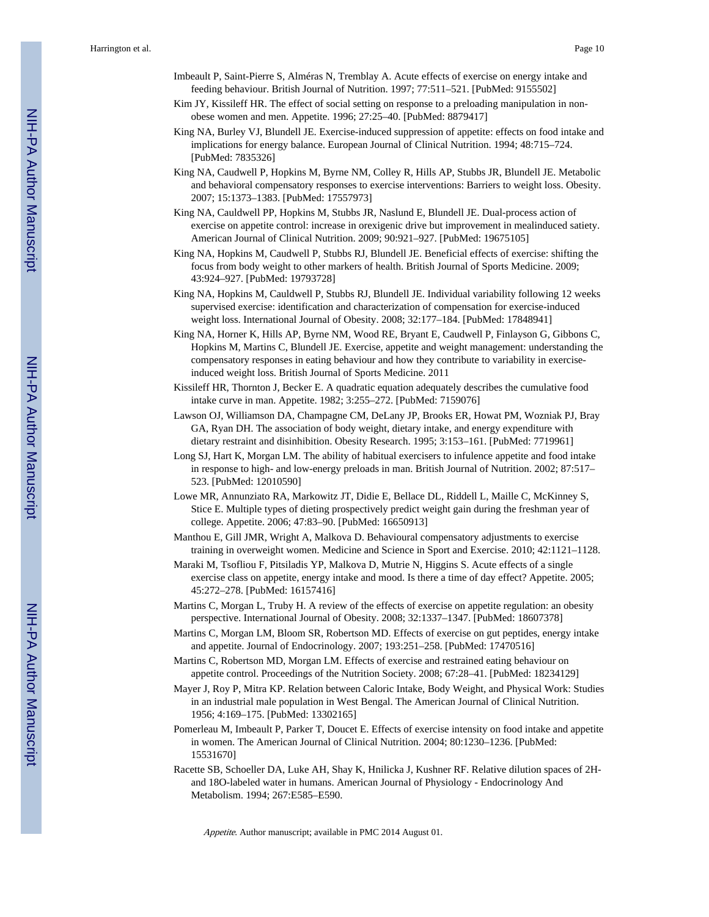- Imbeault P, Saint-Pierre S, Alméras N, Tremblay A. Acute effects of exercise on energy intake and feeding behaviour. British Journal of Nutrition. 1997; 77:511–521. [PubMed: 9155502]
- Kim JY, Kissileff HR. The effect of social setting on response to a preloading manipulation in nonobese women and men. Appetite. 1996; 27:25–40. [PubMed: 8879417]
- King NA, Burley VJ, Blundell JE. Exercise-induced suppression of appetite: effects on food intake and implications for energy balance. European Journal of Clinical Nutrition. 1994; 48:715–724. [PubMed: 7835326]
- King NA, Caudwell P, Hopkins M, Byrne NM, Colley R, Hills AP, Stubbs JR, Blundell JE. Metabolic and behavioral compensatory responses to exercise interventions: Barriers to weight loss. Obesity. 2007; 15:1373–1383. [PubMed: 17557973]
- King NA, Cauldwell PP, Hopkins M, Stubbs JR, Naslund E, Blundell JE. Dual-process action of exercise on appetite control: increase in orexigenic drive but improvement in mealinduced satiety. American Journal of Clinical Nutrition. 2009; 90:921–927. [PubMed: 19675105]
- King NA, Hopkins M, Caudwell P, Stubbs RJ, Blundell JE. Beneficial effects of exercise: shifting the focus from body weight to other markers of health. British Journal of Sports Medicine. 2009; 43:924–927. [PubMed: 19793728]
- King NA, Hopkins M, Cauldwell P, Stubbs RJ, Blundell JE. Individual variability following 12 weeks supervised exercise: identification and characterization of compensation for exercise-induced weight loss. International Journal of Obesity. 2008; 32:177–184. [PubMed: 17848941]
- King NA, Horner K, Hills AP, Byrne NM, Wood RE, Bryant E, Caudwell P, Finlayson G, Gibbons C, Hopkins M, Martins C, Blundell JE. Exercise, appetite and weight management: understanding the compensatory responses in eating behaviour and how they contribute to variability in exerciseinduced weight loss. British Journal of Sports Medicine. 2011
- Kissileff HR, Thornton J, Becker E. A quadratic equation adequately describes the cumulative food intake curve in man. Appetite. 1982; 3:255–272. [PubMed: 7159076]
- Lawson OJ, Williamson DA, Champagne CM, DeLany JP, Brooks ER, Howat PM, Wozniak PJ, Bray GA, Ryan DH. The association of body weight, dietary intake, and energy expenditure with dietary restraint and disinhibition. Obesity Research. 1995; 3:153–161. [PubMed: 7719961]
- Long SJ, Hart K, Morgan LM. The ability of habitual exercisers to infulence appetite and food intake in response to high- and low-energy preloads in man. British Journal of Nutrition. 2002; 87:517– 523. [PubMed: 12010590]
- Lowe MR, Annunziato RA, Markowitz JT, Didie E, Bellace DL, Riddell L, Maille C, McKinney S, Stice E. Multiple types of dieting prospectively predict weight gain during the freshman year of college. Appetite. 2006; 47:83–90. [PubMed: 16650913]
- Manthou E, Gill JMR, Wright A, Malkova D. Behavioural compensatory adjustments to exercise training in overweight women. Medicine and Science in Sport and Exercise. 2010; 42:1121–1128.
- Maraki M, Tsofliou F, Pitsiladis YP, Malkova D, Mutrie N, Higgins S. Acute effects of a single exercise class on appetite, energy intake and mood. Is there a time of day effect? Appetite. 2005; 45:272–278. [PubMed: 16157416]
- Martins C, Morgan L, Truby H. A review of the effects of exercise on appetite regulation: an obesity perspective. International Journal of Obesity. 2008; 32:1337–1347. [PubMed: 18607378]
- Martins C, Morgan LM, Bloom SR, Robertson MD. Effects of exercise on gut peptides, energy intake and appetite. Journal of Endocrinology. 2007; 193:251–258. [PubMed: 17470516]
- Martins C, Robertson MD, Morgan LM. Effects of exercise and restrained eating behaviour on appetite control. Proceedings of the Nutrition Society. 2008; 67:28–41. [PubMed: 18234129]
- Mayer J, Roy P, Mitra KP. Relation between Caloric Intake, Body Weight, and Physical Work: Studies in an industrial male population in West Bengal. The American Journal of Clinical Nutrition. 1956; 4:169–175. [PubMed: 13302165]
- Pomerleau M, Imbeault P, Parker T, Doucet E. Effects of exercise intensity on food intake and appetite in women. The American Journal of Clinical Nutrition. 2004; 80:1230–1236. [PubMed: 15531670]
- Racette SB, Schoeller DA, Luke AH, Shay K, Hnilicka J, Kushner RF. Relative dilution spaces of 2Hand 18O-labeled water in humans. American Journal of Physiology - Endocrinology And Metabolism. 1994; 267:E585–E590.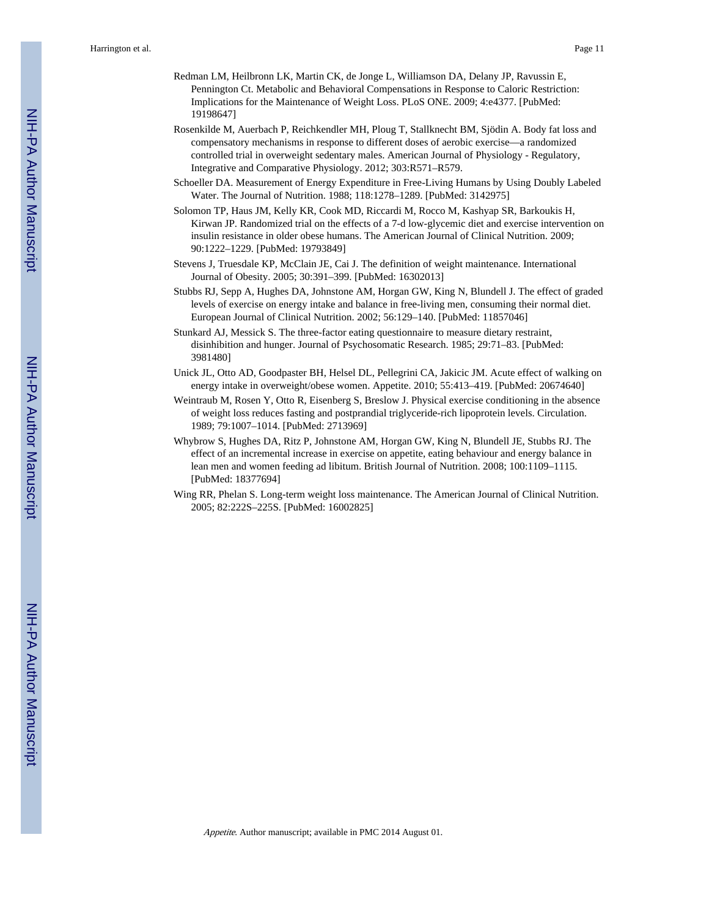- Redman LM, Heilbronn LK, Martin CK, de Jonge L, Williamson DA, Delany JP, Ravussin E, Pennington Ct. Metabolic and Behavioral Compensations in Response to Caloric Restriction: Implications for the Maintenance of Weight Loss. PLoS ONE. 2009; 4:e4377. [PubMed: 19198647]
- Rosenkilde M, Auerbach P, Reichkendler MH, Ploug T, Stallknecht BM, Sjödin A. Body fat loss and compensatory mechanisms in response to different doses of aerobic exercise—a randomized controlled trial in overweight sedentary males. American Journal of Physiology - Regulatory, Integrative and Comparative Physiology. 2012; 303:R571–R579.
- Schoeller DA. Measurement of Energy Expenditure in Free-Living Humans by Using Doubly Labeled Water. The Journal of Nutrition. 1988; 118:1278–1289. [PubMed: 3142975]
- Solomon TP, Haus JM, Kelly KR, Cook MD, Riccardi M, Rocco M, Kashyap SR, Barkoukis H, Kirwan JP. Randomized trial on the effects of a 7-d low-glycemic diet and exercise intervention on insulin resistance in older obese humans. The American Journal of Clinical Nutrition. 2009; 90:1222–1229. [PubMed: 19793849]
- Stevens J, Truesdale KP, McClain JE, Cai J. The definition of weight maintenance. International Journal of Obesity. 2005; 30:391–399. [PubMed: 16302013]
- Stubbs RJ, Sepp A, Hughes DA, Johnstone AM, Horgan GW, King N, Blundell J. The effect of graded levels of exercise on energy intake and balance in free-living men, consuming their normal diet. European Journal of Clinical Nutrition. 2002; 56:129–140. [PubMed: 11857046]
- Stunkard AJ, Messick S. The three-factor eating questionnaire to measure dietary restraint, disinhibition and hunger. Journal of Psychosomatic Research. 1985; 29:71–83. [PubMed: 3981480]
- Unick JL, Otto AD, Goodpaster BH, Helsel DL, Pellegrini CA, Jakicic JM. Acute effect of walking on energy intake in overweight/obese women. Appetite. 2010; 55:413–419. [PubMed: 20674640]
- Weintraub M, Rosen Y, Otto R, Eisenberg S, Breslow J. Physical exercise conditioning in the absence of weight loss reduces fasting and postprandial triglyceride-rich lipoprotein levels. Circulation. 1989; 79:1007–1014. [PubMed: 2713969]
- Whybrow S, Hughes DA, Ritz P, Johnstone AM, Horgan GW, King N, Blundell JE, Stubbs RJ. The effect of an incremental increase in exercise on appetite, eating behaviour and energy balance in lean men and women feeding ad libitum. British Journal of Nutrition. 2008; 100:1109–1115. [PubMed: 18377694]
- Wing RR, Phelan S. Long-term weight loss maintenance. The American Journal of Clinical Nutrition. 2005; 82:222S–225S. [PubMed: 16002825]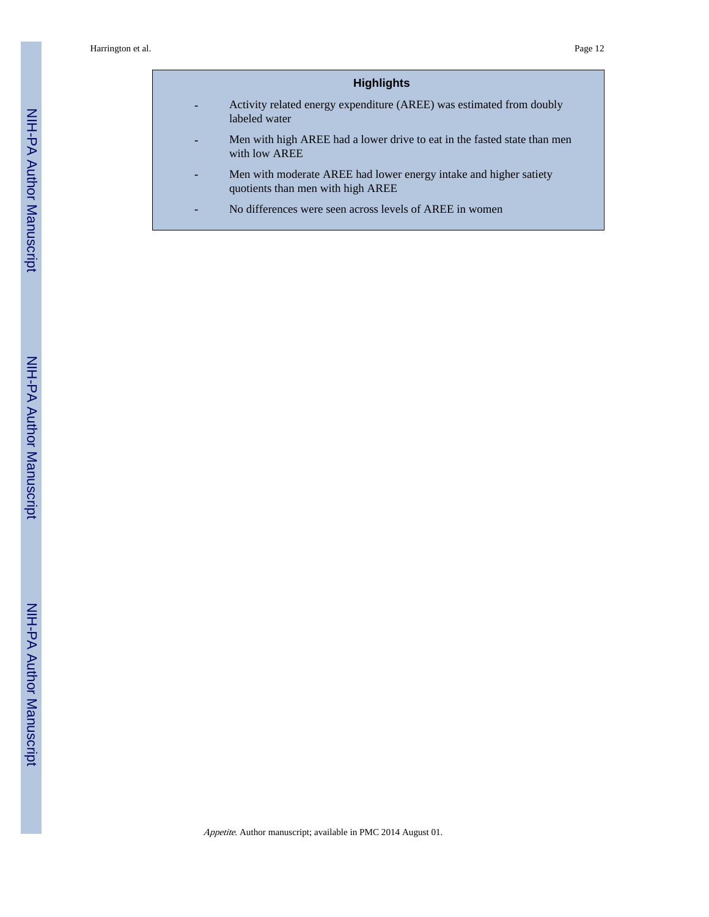# **Highlights**

- **-** Activity related energy expenditure (AREE) was estimated from doubly labeled water
- **-** Men with high AREE had a lower drive to eat in the fasted state than men with low AREE
- **-** Men with moderate AREE had lower energy intake and higher satiety quotients than men with high AREE
- **-** No differences were seen across levels of AREE in women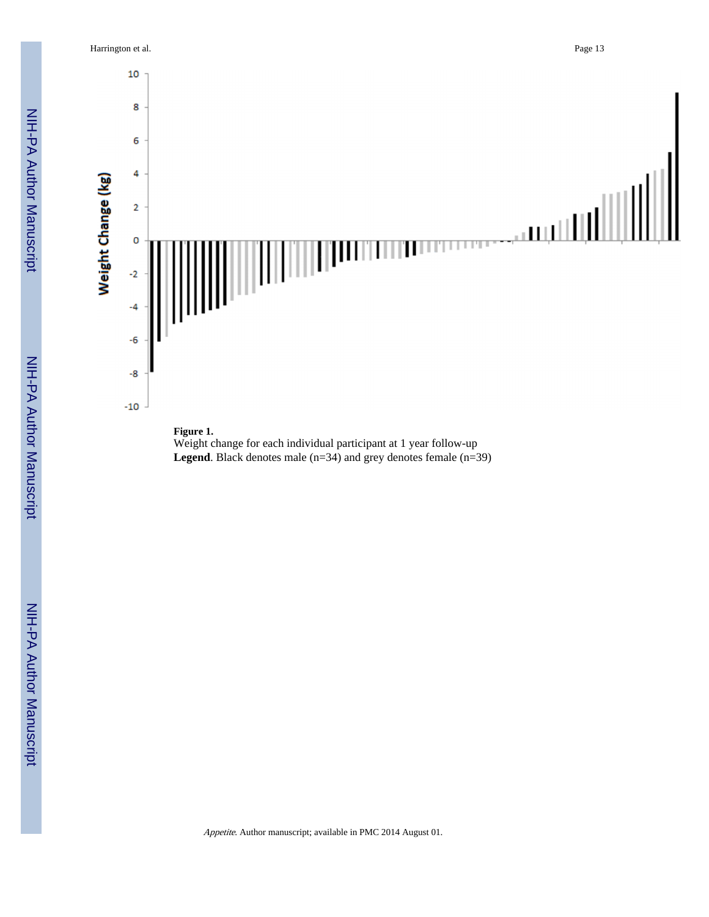Harrington et al. Page 13



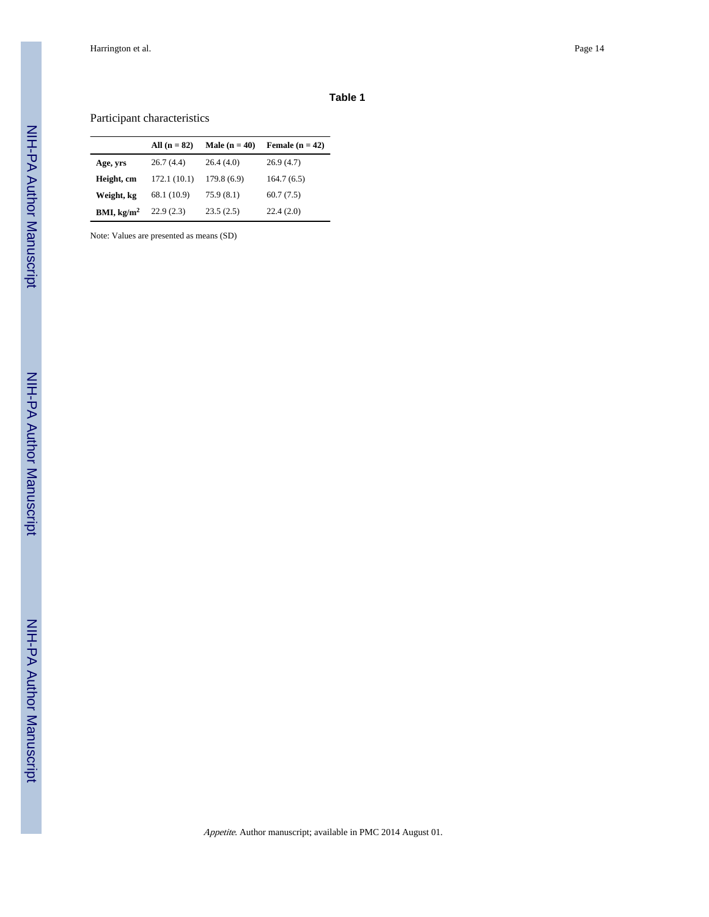# Participant characteristics

|                        | All $(n = 82)$ | Male $(n = 40)$ | Female $(n = 42)$ |
|------------------------|----------------|-----------------|-------------------|
| Age, yrs               | 26.7(4.4)      | 26.4(4.0)       | 26.9(4.7)         |
| Height, cm             | 172.1(10.1)    | 179.8(6.9)      | 164.7(6.5)        |
| Weight, kg             | 68.1 (10.9)    | 75.9(8.1)       | 60.7(7.5)         |
| BMI, kg/m <sup>2</sup> | 22.9(2.3)      | 23.5(2.5)       | 22.4(2.0)         |

Note: Values are presented as means (SD)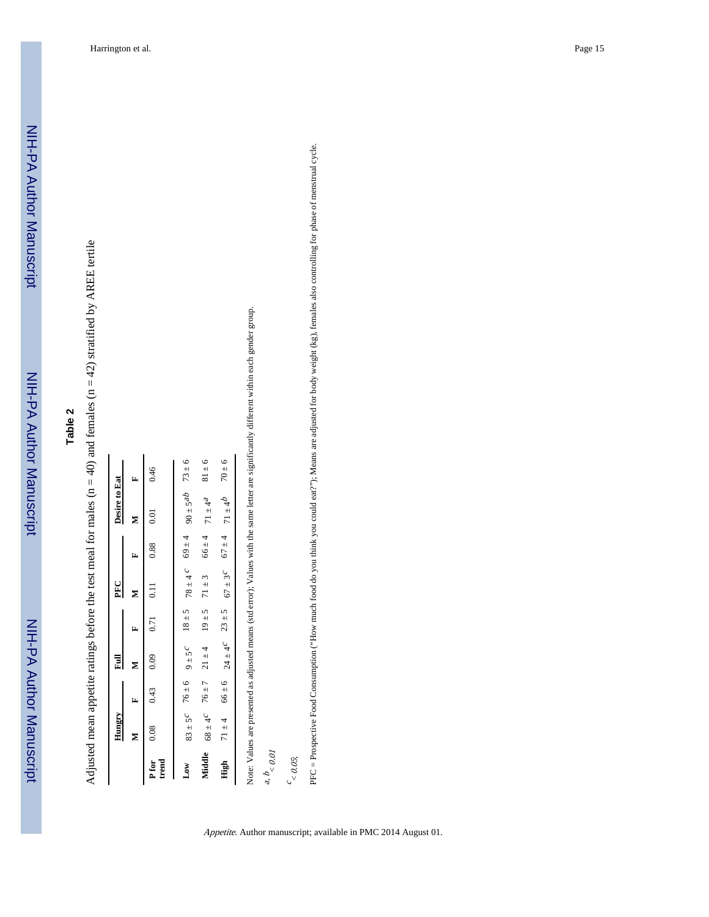Adjusted mean appetite ratings before the test meal for males ( $n = 40$ ) and females ( $n = 42$ ) stratified by AREE tertile Adjusted mean appetite ratings before the test meal for males (n = 40) and females (n = 42) stratified by AREE tertile

|                | Hungry             |                                                 | Ē    |      | PFC                                                                   |            | Desire to Eat                                              |            |
|----------------|--------------------|-------------------------------------------------|------|------|-----------------------------------------------------------------------|------------|------------------------------------------------------------|------------|
|                | z                  | γ                                               | ⋝    | Ez.  | ⋝                                                                     | Ŧ          | Σ                                                          | Þ.         |
| P for<br>trend | 0.08               | 0.43                                            | 0.09 | 0.71 |                                                                       | 0.88       | $\overline{0.01}$                                          | 0.46       |
| $_{\rm Low}$   |                    | $83 \pm 5^{\circ}$ 76 $\pm 6$ 9 $\pm 5^{\circ}$ |      |      |                                                                       |            | $18 \pm 5$ $78 \pm 4$ $c$ $69 \pm 4$ $90 \pm 5$ $68 \pm 8$ |            |
| Middle         | $68 \pm 4^{\circ}$ | $76 \pm 7$ 21 $\pm 4$                           |      |      | $19 \pm 5$ 71 $\pm 3$                                                 | $66 \pm 4$ | $71 \pm 4^{2}$                                             | $81 \pm 6$ |
| High           | $71 \pm 4$         |                                                 |      |      | $66 \pm 6$ $24 \pm 4$ $23 \pm 5$ $67 \pm 3$ $67 \pm 4$ $71 \pm 4$ $6$ |            |                                                            | $70 \pm 6$ |

ntly different within each gender group. Note: Values are presented as adjusted means (std error); Values with the same letter are significantly different within each gender group. d.

a, b  $< 0.01$ 

 $\frac{c}{<}$  0.05;

Appetite. Author manuscript; available in PMC 2014 August 01.

PFC = Prospective Food Consumption ("How much food do you think you could eat?"); Means are adjusted for body weight (kg), females also controlling for phase of menstrual cycle. PFC = Prospective Food Consumption ("How much food do you think you could eat?"); Means are adjusted for body weight (kg), females also controlling for phase of menstrual cycle.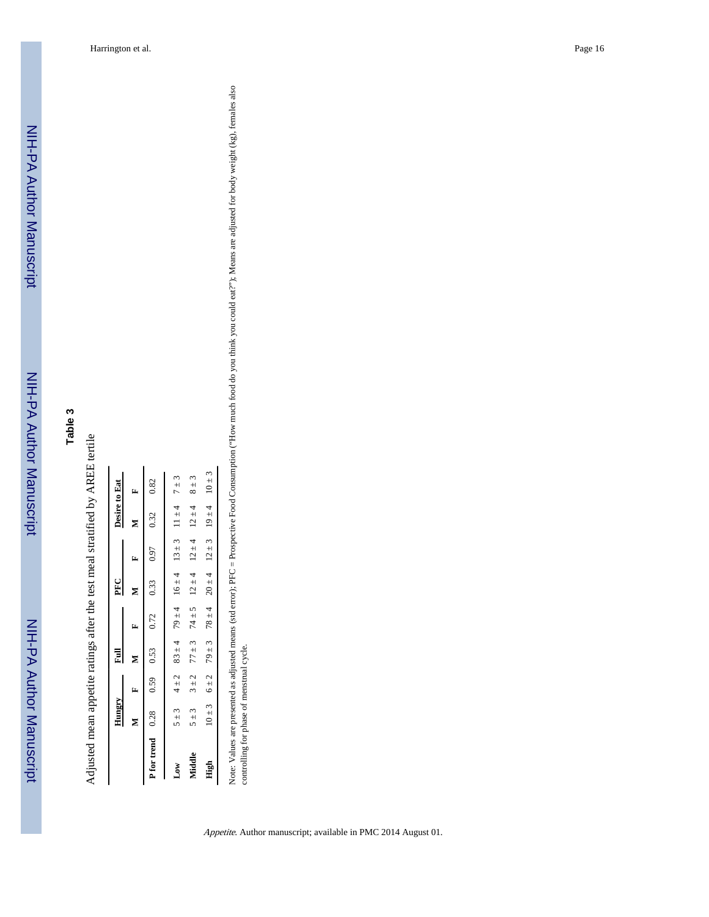Adjusted mean appetite ratings after the test meal stratified by AREE tertile Adjusted mean appetite ratings after the test meal stratified by AREE tertile

|                  | Hungry     |           | 冒          |            | PFC        |            | Desire to Eat |            |
|------------------|------------|-----------|------------|------------|------------|------------|---------------|------------|
|                  | z          | E         | Σ          | Ŀ,         | z          | E          | z             | r,         |
| P for trend 0.28 |            | 0.59      | 0.53       | 0.72       | 0.33       | 0.97       | 0.32          | 0.82       |
| Low              | 5 ± 3      | $4 \pm 2$ | $83 \pm 4$ | $79 \pm 4$ | $16 \pm 4$ | $13 \pm 3$ | $11 \pm 4$    | $7 \pm 3$  |
| Middle           | $5 + 3$    | $3 + 2$   | $77 \pm 3$ | $74 \pm 5$ | $12 \pm 4$ | $12 \pm 4$ | $12 \pm 4$    | $8 \pm 3$  |
| High             | $10 \pm 3$ | 6 ± 2     | $79 \pm 3$ | $78 \pm 4$ | $20 \pm 4$ | $12 \pm 3$ | $19 \pm 4$    | $10 \pm 3$ |
|                  |            |           |            |            |            |            |               |            |

Note: Values are presented as adjusted means (std error); PFC = Prospective Food Consumption ("How much food do you think you could eat?"); Means are adjusted for body weight (kg), females also<br>controlling for phase of men Note: Values are presented as adjusted means (std error); PFC = Prospective Food Consumption ("How much food do you think you could eat?"); Means are adjusted for body weight (kg), females also controlling for phase of menstrual cycle.